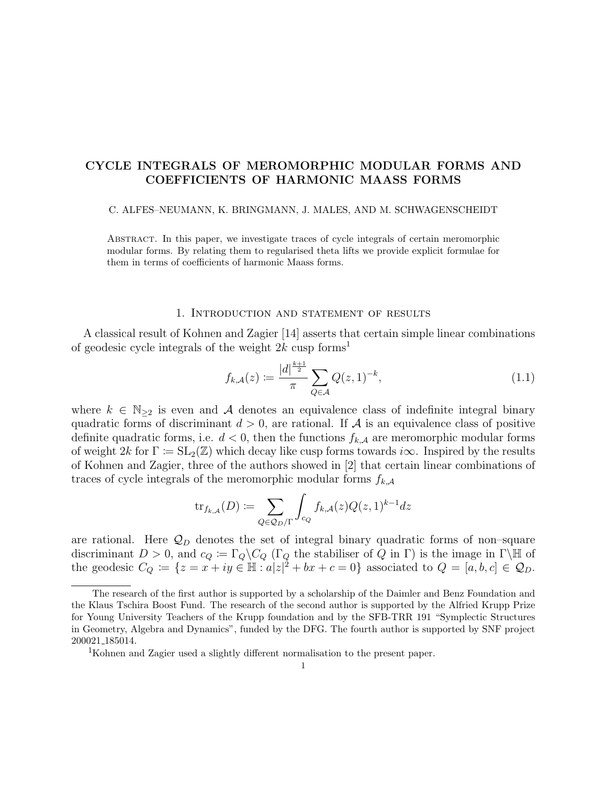# CYCLE INTEGRALS OF MEROMORPHIC MODULAR FORMS AND COEFFICIENTS OF HARMONIC MAASS FORMS

### C. ALFES–NEUMANN, K. BRINGMANN, J. MALES, AND M. SCHWAGENSCHEIDT

Abstract. In this paper, we investigate traces of cycle integrals of certain meromorphic modular forms. By relating them to regularised theta lifts we provide explicit formulae for them in terms of coefficients of harmonic Maass forms.

## 1. Introduction and statement of results

A classical result of Kohnen and Zagier [14] asserts that certain simple linear combinations of geodesic cycle integrals of the weight  $2k$  cusp forms<sup>1</sup>

$$
f_{k,A}(z) := \frac{|d|^{\frac{k+1}{2}}}{\pi} \sum_{Q \in \mathcal{A}} Q(z, 1)^{-k}, \tag{1.1}
$$

where  $k \in \mathbb{N}_{\geq 2}$  is even and A denotes an equivalence class of indefinite integral binary quadratic forms of discriminant  $d > 0$ , are rational. If A is an equivalence class of positive definite quadratic forms, i.e.  $d < 0$ , then the functions  $f_{k,\mathcal{A}}$  are meromorphic modular forms of weight  $2k$  for  $\Gamma \coloneqq SL_2(\mathbb{Z})$  which decay like cusp forms towards  $i\infty$ . Inspired by the results of Kohnen and Zagier, three of the authors showed in [2] that certain linear combinations of traces of cycle integrals of the meromorphic modular forms  $f_{k,\mathcal{A}}$ 

$$
\text{tr}_{f_{k,A}}(D) \coloneqq \sum_{Q \in \mathcal{Q}_D/\Gamma} \int_{c_Q} f_{k,A}(z) Q(z,1)^{k-1} dz
$$

are rational. Here  $\mathcal{Q}_D$  denotes the set of integral binary quadratic forms of non-square discriminant  $D > 0$ , and  $c_Q := \Gamma_Q \backslash C_Q$  ( $\Gamma_Q$  the stabiliser of  $\overline{Q}$  in  $\Gamma$ ) is the image in  $\Gamma \backslash \overline{\mathbb{H}}$  of the geodesic  $C_Q := \{z = x + iy \in \mathbb{H} : a|z|^2 + bx + c = 0\}$  associated to  $Q = [a, b, c] \in \mathcal{Q}_D$ .

The research of the first author is supported by a scholarship of the Daimler and Benz Foundation and the Klaus Tschira Boost Fund. The research of the second author is supported by the Alfried Krupp Prize for Young University Teachers of the Krupp foundation and by the SFB-TRR 191 "Symplectic Structures in Geometry, Algebra and Dynamics", funded by the DFG. The fourth author is supported by SNF project 200021 185014.

<sup>1</sup>Kohnen and Zagier used a slightly different normalisation to the present paper.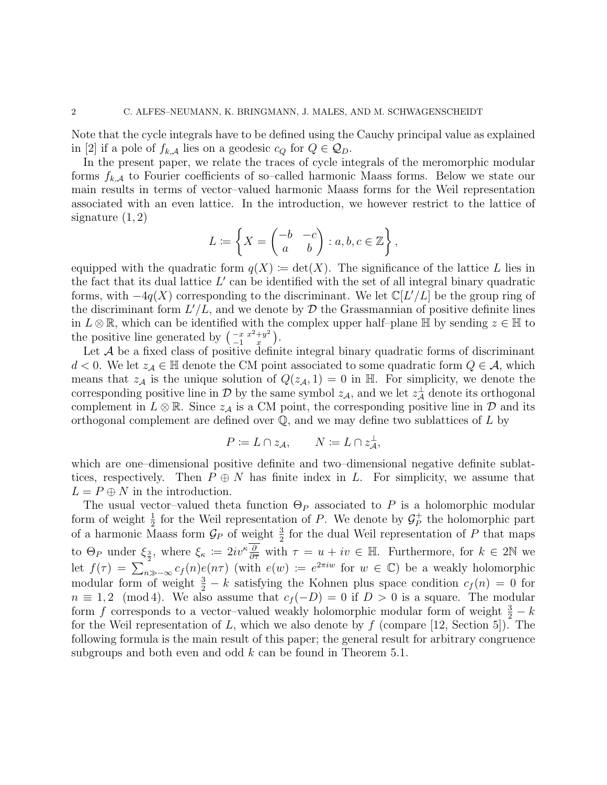Note that the cycle integrals have to be defined using the Cauchy principal value as explained in [2] if a pole of  $f_{k,\mathcal{A}}$  lies on a geodesic  $c_Q$  for  $Q \in \mathcal{Q}_D$ .

In the present paper, we relate the traces of cycle integrals of the meromorphic modular forms  $f_{k,A}$  to Fourier coefficients of so–called harmonic Maass forms. Below we state our main results in terms of vector–valued harmonic Maass forms for the Weil representation associated with an even lattice. In the introduction, we however restrict to the lattice of signature  $(1, 2)$ 

$$
L \coloneqq \left\{ X = \begin{pmatrix} -b & -c \\ a & b \end{pmatrix} : a, b, c \in \mathbb{Z} \right\},\
$$

equipped with the quadratic form  $q(X) := det(X)$ . The significance of the lattice L lies in the fact that its dual lattice  $L'$  can be identified with the set of all integral binary quadratic forms, with  $-4q(X)$  corresponding to the discriminant. We let  $\mathbb{C}[L'/L]$  be the group ring of the discriminant form  $L'/L$ , and we denote by  $\mathcal D$  the Grassmannian of positive definite lines in  $L \otimes \mathbb{R}$ , which can be identified with the complex upper half–plane H by sending  $z \in \mathbb{H}$  to the positive line generated by  $\left(\begin{array}{cc} -x & x^2+y^2 \\ 1 & x \end{array}\right)$  $\begin{pmatrix} -x & x^2+y^2 \\ -1 & x \end{pmatrix}$ .

Let  $A$  be a fixed class of positive definite integral binary quadratic forms of discriminant  $d < 0$ . We let  $z_{\mathcal{A}} \in \mathbb{H}$  denote the CM point associated to some quadratic form  $Q \in \mathcal{A}$ , which means that  $z_{\mathcal{A}}$  is the unique solution of  $Q(z_{\mathcal{A}}, 1) = 0$  in H. For simplicity, we denote the corresponding positive line in  $\mathcal D$  by the same symbol  $z_{\mathcal{A}}$ , and we let  $z_{\mathcal{A}}^{\perp}$  denote its orthogonal complement in  $L \otimes \mathbb{R}$ . Since  $z_{\mathcal{A}}$  is a CM point, the corresponding positive line in  $\mathcal{D}$  and its orthogonal complement are defined over  $\mathbb Q$ , and we may define two sublattices of  $L$  by

$$
P \coloneqq L \cap z_{\mathcal{A}}, \qquad N \coloneqq L \cap z_{\mathcal{A}}^{\perp},
$$

which are one–dimensional positive definite and two–dimensional negative definite sublattices, respectively. Then  $P \oplus N$  has finite index in L. For simplicity, we assume that  $L = P \oplus N$  in the introduction.

The usual vector–valued theta function  $\Theta_P$  associated to P is a holomorphic modular form of weight  $\frac{1}{2}$  for the Weil representation of P. We denote by  $\mathcal{G}_P^+$  $P^+$  the holomorphic part of a harmonic Maass form  $\mathcal{G}_P$  of weight  $\frac{3}{2}$  for the dual Weil representation of P that maps to  $\Theta_P$  under  $\xi_{\frac{3}{2}}$ , where  $\xi_{\kappa} := 2iv^{\kappa} \frac{\overline{\partial}}{\partial \overline{\tau}}$  with  $\tau = u + iv \in \mathbb{H}$ . Furthermore, for  $k \in 2\mathbb{N}$  we let  $f(\tau) = \sum_{n \gg -\infty}^{\infty} c_f(n) e(n\tau)$  (with  $e(w) := e^{2\pi i w}$  for  $w \in \mathbb{C}$ ) be a weakly holomorphic modular form of weight  $\frac{3}{2} - k$  satisfying the Kohnen plus space condition  $c_f(n) = 0$  for  $n \equiv 1, 2 \pmod{4}$ . We also assume that  $c_f(-D) = 0$  if  $D > 0$  is a square. The modular form f corresponds to a vector-valued weakly holomorphic modular form of weight  $\frac{3}{2} - k$ for the Weil representation of L, which we also denote by  $f$  (compare [12, Section 5]). The following formula is the main result of this paper; the general result for arbitrary congruence subgroups and both even and odd  $k$  can be found in Theorem 5.1.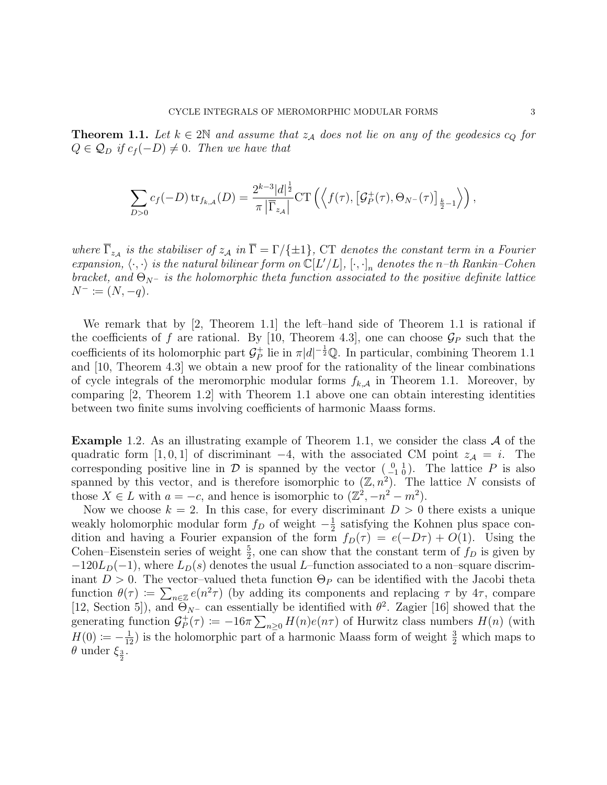**Theorem 1.1.** Let  $k \in 2\mathbb{N}$  and assume that  $z_A$  does not lie on any of the geodesics  $c_Q$  for  $Q \in \mathcal{Q}_D$  if  $c_f(-D) \neq 0$ . Then we have that

$$
\sum_{D>0} c_f(-D) \operatorname{tr}_{f_{k,A}}(D) = \frac{2^{k-3}|d|^{\frac{1}{2}}}{\pi |\overline{\Gamma}_{z_A}|} \operatorname{CT}\left(\left\langle f(\tau), [\mathcal{G}_P^+(\tau), \Theta_{N^-}(\tau)]_{\frac{k}{2}-1}\right\rangle\right),
$$

where  $\Gamma_{z_{\mathcal{A}}}$  is the stabiliser of  $z_{\mathcal{A}}$  in  $\Gamma = \Gamma / \{\pm 1\}$ , CT denotes the constant term in a Fourier expansion,  $\langle \cdot, \cdot \rangle$  is the natural bilinear form on  $\mathbb{C}[L'/L]$ ,  $[\cdot, \cdot]_n$  denotes the n-th Rankin–Cohen bracket, and  $\Theta_{N^-}$  is the holomorphic theta function associated to the positive definite lattice  $N^- \coloneqq (N, -q).$ 

We remark that by [2, Theorem 1.1] the left–hand side of Theorem 1.1 is rational if the coefficients of f are rational. By [10, Theorem 4.3], one can choose  $\mathcal{G}_P$  such that the coefficients of its holomorphic part  $\mathcal{G}_P^+$ <sup>+</sup> lie in  $\pi |d|^{-\frac{1}{2}} \mathbb{Q}$ . In particular, combining Theorem 1.1 and [10, Theorem 4.3] we obtain a new proof for the rationality of the linear combinations of cycle integrals of the meromorphic modular forms  $f_{k,A}$  in Theorem 1.1. Moreover, by comparing [2, Theorem 1.2] with Theorem 1.1 above one can obtain interesting identities between two finite sums involving coefficients of harmonic Maass forms.

**Example** 1.2. As an illustrating example of Theorem 1.1, we consider the class  $\mathcal A$  of the quadratic form [1, 0, 1] of discriminant  $-4$ , with the associated CM point  $z_A = i$ . The corresponding positive line in  $\mathcal D$  is spanned by the vector  $\begin{pmatrix} 0 & 1 \\ -1 & 0 \end{pmatrix}$ . The lattice P is also spanned by this vector, and is therefore isomorphic to  $(\mathbb{Z}, n^2)$ . The lattice N consists of those  $X \in L$  with  $a = -c$ , and hence is isomorphic to  $(\mathbb{Z}^2, -n^2 - m^2)$ .

Now we choose  $k = 2$ . In this case, for every discriminant  $D > 0$  there exists a unique weakly holomorphic modular form  $f_D$  of weight  $-\frac{1}{2}$  $\frac{1}{2}$  satisfying the Kohnen plus space condition and having a Fourier expansion of the form  $f_D(\tau) = e(-D\tau) + O(1)$ . Using the Cohen–Eisenstein series of weight  $\frac{5}{2}$ , one can show that the constant term of  $f_D$  is given by  $-120L_D(-1)$ , where  $L_D(s)$  denotes the usual L–function associated to a non–square discriminant  $D > 0$ . The vector-valued theta function  $\Theta_P$  can be identified with the Jacobi theta function  $\theta(\tau) \coloneqq \sum_{n \in \mathbb{Z}} e(n^2 \tau)$  (by adding its components and replacing  $\tau$  by  $4\tau$ , compare [12, Section 5]), and  $\Theta_{N^-}$  can essentially be identified with  $\theta^2$ . Zagier [16] showed that the generating function  $\mathcal{G}_P^+$  $P^+_{P}(\tau) \coloneqq -16\pi \sum_{n\geq 0} H(n)e(n\tau)$  of Hurwitz class numbers  $H(n)$  (with  $H(0) \coloneqq -\frac{1}{12}$  is the holomorphic part of a harmonic Maass form of weight  $\frac{3}{2}$  which maps to  $\theta$  under  $\xi_{\frac{3}{2}}$ .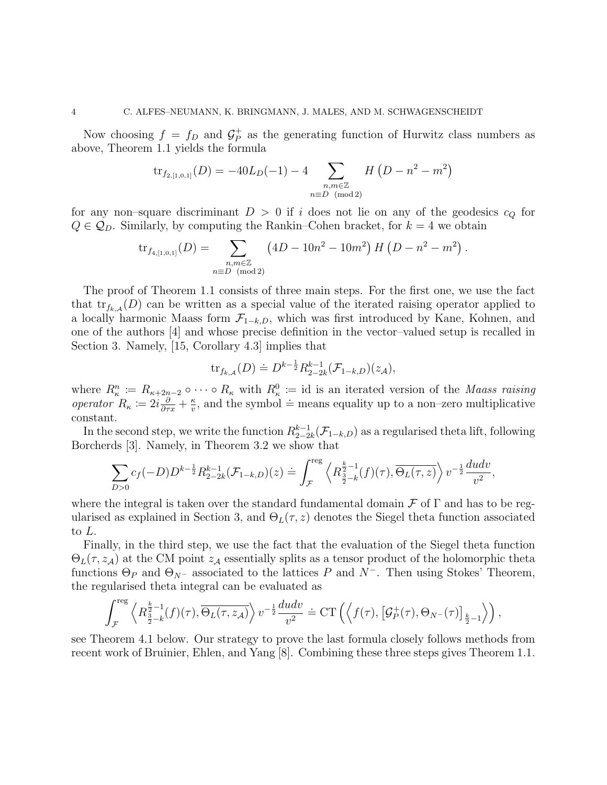Now choosing  $f = f_D$  and  $\mathcal{G}_P^+$  $P_P^+$  as the generating function of Hurwitz class numbers as above, Theorem 1.1 yields the formula

$$
tr_{f_{2,[1,0,1]}}(D) = -40L_D(-1) - 4 \sum_{\substack{n,m \in \mathbb{Z} \\ n \equiv D \pmod{2}}} H(D - n^2 - m^2)
$$

for any non–square discriminant  $D > 0$  if i does not lie on any of the geodesics  $c_Q$  for  $Q \in \mathcal{Q}_D$ . Similarly, by computing the Rankin–Cohen bracket, for  $k = 4$  we obtain

$$
\text{tr}_{f_{4,[1,0,1]}}(D) = \sum_{\substack{n,m \in \mathbb{Z} \\ n \equiv D \pmod{2}}} \left(4D - 10n^2 - 10m^2\right) H\left(D - n^2 - m^2\right).
$$

The proof of Theorem 1.1 consists of three main steps. For the first one, we use the fact that  $\text{tr}_{f_{k,A}}(D)$  can be written as a special value of the iterated raising operator applied to a locally harmonic Maass form  $\mathcal{F}_{1-k,D}$ , which was first introduced by Kane, Kohnen, and one of the authors [4] and whose precise definition in the vector–valued setup is recalled in Section 3. Namely, [15, Corollary 4.3] implies that

$$
\operatorname{tr}_{f_{k,A}}(D) \doteq D^{k-\frac{1}{2}} R_{2-2k}^{k-1}(\mathcal{F}_{1-k,D})(z_{\mathcal{A}}),
$$

where  $R_{\kappa}^n \coloneqq R_{\kappa+2n-2} \circ \cdots \circ R_{\kappa}$  with  $R_{\kappa}^0 \coloneqq \text{id}$  is an iterated version of the *Maass raising operator*  $R_{\kappa} \coloneqq 2i \frac{\partial}{\partial \tau x} + \frac{\kappa}{v}$  $\frac{\kappa}{v}$ , and the symbol  $\dot{=}$  means equality up to a non–zero multiplicative constant.

In the second step, we write the function  $R_{2-2}^{k-1}$  $\sum_{2-2k}^{k-1}(\mathcal{F}_{1-k,D})$  as a regularised theta lift, following Borcherds [3]. Namely, in Theorem 3.2 we show that

$$
\sum_{D>0} c_f(-D) D^{k-\frac{1}{2}} R_{2-2k}^{k-1}(\mathcal{F}_{1-k,D})(z) \doteq \int_{\mathcal{F}}^{\text{reg}} \left\langle R_{\frac{3}{2}-k}^{k-1}(f)(\tau), \overline{\Theta_L(\tau,z)} \right\rangle v^{-\frac{1}{2}} \frac{du dv}{v^2},
$$

where the integral is taken over the standard fundamental domain  $\mathcal F$  of  $\Gamma$  and has to be regularised as explained in Section 3, and  $\Theta_L(\tau, z)$  denotes the Siegel theta function associated to L.

Finally, in the third step, we use the fact that the evaluation of the Siegel theta function  $\Theta_L(\tau, z_{\mathcal{A}})$  at the CM point  $z_{\mathcal{A}}$  essentially splits as a tensor product of the holomorphic theta functions  $\Theta_P$  and  $\Theta_{N^-}$  associated to the lattices P and N<sup>-</sup>. Then using Stokes' Theorem, the regularised theta integral can be evaluated as

$$
\int_{\mathcal{F}}^{\text{reg}} \left\langle R^{\frac{k}{2}-1}_{\frac{3}{2}-k}(f)(\tau), \overline{\Theta_L(\tau, z_{\mathcal{A}})} \right\rangle v^{-\frac{1}{2}} \frac{du dv}{v^2} \doteq \text{CT}\left( \left\langle f(\tau), \left[ \mathcal{G}_P^+(\tau), \Theta_{N^-}(\tau) \right]_{\frac{k}{2}-1} \right\rangle \right),
$$

see Theorem 4.1 below. Our strategy to prove the last formula closely follows methods from recent work of Bruinier, Ehlen, and Yang [8]. Combining these three steps gives Theorem 1.1.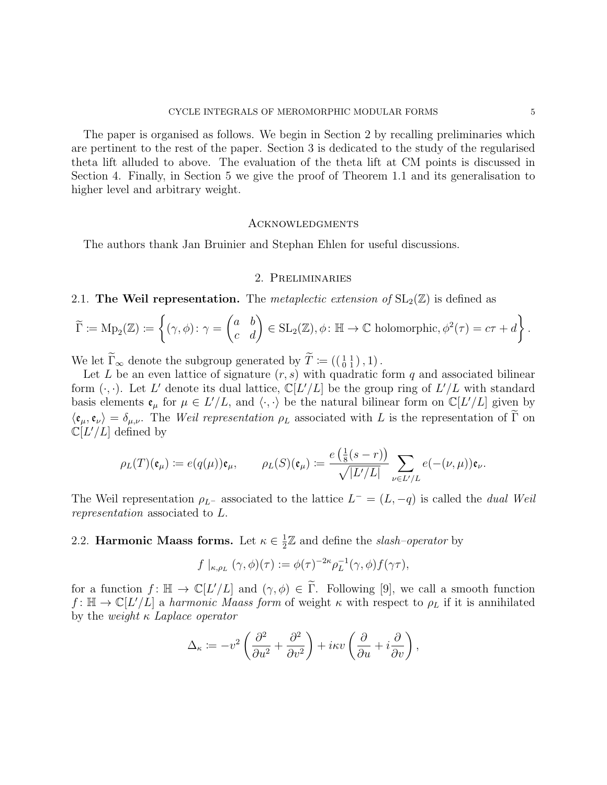The paper is organised as follows. We begin in Section 2 by recalling preliminaries which are pertinent to the rest of the paper. Section 3 is dedicated to the study of the regularised theta lift alluded to above. The evaluation of the theta lift at CM points is discussed in Section 4. Finally, in Section 5 we give the proof of Theorem 1.1 and its generalisation to higher level and arbitrary weight.

## **ACKNOWLEDGMENTS**

The authors thank Jan Bruinier and Stephan Ehlen for useful discussions.

# 2. Preliminaries

# 2.1. The Weil representation. The *metaplectic extension of*  $SL_2(\mathbb{Z})$  is defined as

$$
\widetilde{\Gamma} := \mathrm{Mp}_2(\mathbb{Z}) := \left\{ (\gamma, \phi) \colon \gamma = \begin{pmatrix} a & b \\ c & d \end{pmatrix} \in \mathrm{SL}_2(\mathbb{Z}), \phi \colon \mathbb{H} \to \mathbb{C} \text{ holomorphic}, \phi^2(\tau) = c\tau + d \right\}.
$$

We let  $\Gamma_{\infty}$  denote the subgroup generated by  $T \coloneqq ((\begin{smallmatrix} 1 & 1 \\ 0 & 1 \end{smallmatrix}), 1)$ .

Let L be an even lattice of signature  $(r, s)$  with quadratic form q and associated bilinear form  $(\cdot, \cdot)$ . Let L' denote its dual lattice,  $\mathbb{C}[L'/L]$  be the group ring of  $L'/L$  with standard basis elements  $\mathfrak{e}_{\mu}$  for  $\mu \in L'/L$ , and  $\langle \cdot, \cdot \rangle$  be the natural bilinear form on  $\mathbb{C}[L'/L]$  given by  $\langle \mathfrak{e}_{\mu}, \mathfrak{e}_{\nu} \rangle = \delta_{\mu,\nu}$ . The *Weil representation*  $\rho_L$  associated with L is the representation of  $\tilde{\Gamma}$  on  $\mathbb{C}[L'/L]$  defined by

$$
\rho_L(T)(\mathfrak{e}_{\mu}) := e(q(\mu))\mathfrak{e}_{\mu}, \qquad \rho_L(S)(\mathfrak{e}_{\mu}) := \frac{e\left(\frac{1}{8}(s-r)\right)}{\sqrt{|L'/L|}} \sum_{\nu \in L'/L} e(-(\nu,\mu))\mathfrak{e}_{\nu}.
$$

The Weil representation  $\rho_{L}$ - associated to the lattice  $L^- = (L, -q)$  is called the *dual Weil* representation associated to L.

#### 2.2. Harmonic Maass forms. Let  $\kappa \in \frac{1}{2}$  $\frac{1}{2}\mathbb{Z}$  and define the *slash-operator* by

$$
f|_{\kappa,\rho_L}(\gamma,\phi)(\tau):=\phi(\tau)^{-2\kappa}\rho_L^{-1}(\gamma,\phi)f(\gamma\tau),
$$

for a function  $f: \mathbb{H} \to \mathbb{C}[L'/L]$  and  $(\gamma, \phi) \in \widetilde{\Gamma}$ . Following [9], we call a smooth function  $f: \mathbb{H} \to \mathbb{C}[L/L]$  a harmonic Maass form of weight  $\kappa$  with respect to  $\rho_L$  if it is annihilated by the weight  $\kappa$  Laplace operator

$$
\Delta_{\kappa} := -v^2 \left( \frac{\partial^2}{\partial u^2} + \frac{\partial^2}{\partial v^2} \right) + i\kappa v \left( \frac{\partial}{\partial u} + i \frac{\partial}{\partial v} \right),
$$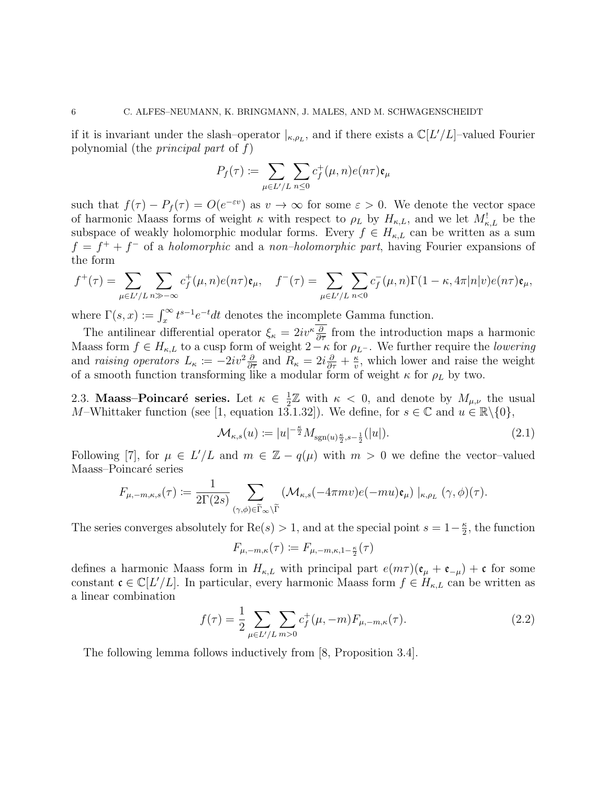if it is invariant under the slash-operator  $|_{\kappa,\rho_L}$ , and if there exists a  $\mathbb{C}[L'/L]$ -valued Fourier polynomial (the principal part of f)

$$
P_f(\tau) := \sum_{\mu \in L'/L} \sum_{n \leq 0} c_f^+(\mu, n) e(n\tau) \mathfrak{e}_{\mu}
$$

such that  $f(\tau) - P_f(\tau) = O(e^{-\varepsilon \nu})$  as  $v \to \infty$  for some  $\varepsilon > 0$ . We denote the vector space of harmonic Maass forms of weight  $\kappa$  with respect to  $\rho_L$  by  $H_{\kappa,L}$ , and we let  $M_{\kappa,L}^!$  be the subspace of weakly holomorphic modular forms. Every  $f \in H_{\kappa,L}$  can be written as a sum  $f = f^+ + f^-$  of a *holomorphic* and a *non-holomorphic part*, having Fourier expansions of the form

$$
f^+(\tau) = \sum_{\mu \in L'/L} \sum_{n \gg -\infty} c_f^+(\mu, n) e(n\tau) \mathfrak{e}_{\mu}, \quad f^-(\tau) = \sum_{\mu \in L'/L} \sum_{n < 0} c_f^-(\mu, n) \Gamma(1 - \kappa, 4\pi |n| v) e(n\tau) \mathfrak{e}_{\mu},
$$

where  $\Gamma(s, x) := \int_x^{\infty} t^{s-1} e^{-t} dt$  denotes the incomplete Gamma function.

The antilinear differential operator  $\xi_{\kappa} = 2iv^{\kappa} \frac{\partial}{\partial \overline{\tau}}$  from the introduction maps a harmonic Maass form  $f \in H_{\kappa,L}$  to a cusp form of weight  $2-\kappa$  for  $\rho_{L}$ -. We further require the *lowering* and raising operators  $L_{\kappa} := -2iv^2 \frac{\partial}{\partial \overline{\tau}}$  and  $R_{\kappa} = 2i \frac{\partial}{\partial \tau} + \frac{\kappa}{v}$  $\frac{\kappa}{v}$ , which lower and raise the weight of a smooth function transforming like a modular form of weight  $\kappa$  for  $\rho_L$  by two.

2.3. Maass–Poincaré series. Let  $\kappa \in \frac{1}{2}$  $\frac{1}{2}\mathbb{Z}$  with  $\kappa$  < 0, and denote by  $M_{\mu,\nu}$  the usual M–Whittaker function (see [1, equation 13.1.32]). We define, for  $s \in \mathbb{C}$  and  $u \in \mathbb{R} \setminus \{0\}$ ,

$$
\mathcal{M}_{\kappa,s}(u) := |u|^{-\frac{\kappa}{2}} M_{\text{sgn}(u)\frac{\kappa}{2}, s-\frac{1}{2}}(|u|). \tag{2.1}
$$

Following [7], for  $\mu \in L'/L$  and  $m \in \mathbb{Z} - q(\mu)$  with  $m > 0$  we define the vector-valued Maass–Poincaré series

$$
F_{\mu,-m,\kappa,s}(\tau) \coloneqq \frac{1}{2\Gamma(2s)} \sum_{(\gamma,\phi) \in \widetilde{\Gamma}_{\infty} \backslash \widetilde{\Gamma}} \left( \mathcal{M}_{\kappa,s}(-4\pi m v) e(-mu) \mathfrak{e}_{\mu} \right)|_{\kappa,\rho_L} (\gamma,\phi)(\tau).
$$

The series converges absolutely for  $\text{Re}(s) > 1$ , and at the special point  $s = 1-\frac{\kappa}{2}$  $\frac{\kappa}{2}$ , the function

$$
F_{\mu,-m,\kappa}(\tau) \coloneqq F_{\mu,-m,\kappa,1-\frac{\kappa}{2}}(\tau)
$$

defines a harmonic Maass form in  $H_{\kappa,L}$  with principal part  $e(m\tau)(\mathfrak{e}_{\mu} + \mathfrak{e}_{-\mu}) + \mathfrak{c}$  for some constant  $\mathfrak{c} \in \mathbb{C}[L/L]$ . In particular, every harmonic Maass form  $f \in H_{\kappa,L}$  can be written as a linear combination

$$
f(\tau) = \frac{1}{2} \sum_{\mu \in L'/L} \sum_{m>0} c_f^+(\mu, -m) F_{\mu, -m, \kappa}(\tau). \tag{2.2}
$$

The following lemma follows inductively from [8, Proposition 3.4].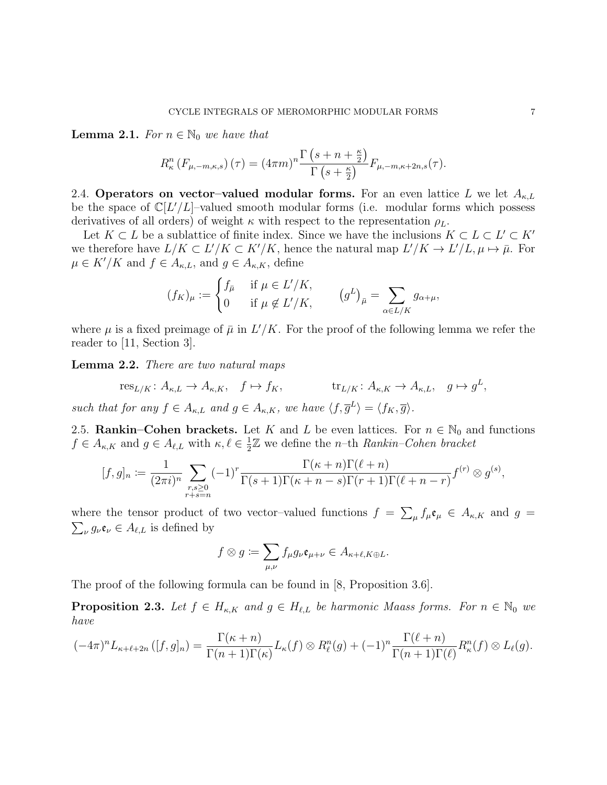**Lemma 2.1.** For  $n \in \mathbb{N}_0$  we have that

$$
R_{\kappa}^{n}(F_{\mu,-m,\kappa,s})\left(\tau\right)=(4\pi m)^{n}\frac{\Gamma\left(s+n+\frac{\kappa}{2}\right)}{\Gamma\left(s+\frac{\kappa}{2}\right)}F_{\mu,-m,\kappa+2n,s}(\tau).
$$

2.4. Operators on vector-valued modular forms. For an even lattice L we let  $A_{\kappa,L}$ be the space of  $\mathbb{C}[L'/L]$ -valued smooth modular forms (i.e. modular forms which possess derivatives of all orders) of weight  $\kappa$  with respect to the representation  $\rho_L$ .

Let  $K \subset L$  be a sublattice of finite index. Since we have the inclusions  $K \subset L \subset L' \subset K'$ we therefore have  $L/K \subset L'/K \subset K'/K$ , hence the natural map  $L'/K \to L'/L, \mu \mapsto \bar{\mu}$ . For  $\mu \in K'/K$  and  $f \in A_{\kappa,L}$ , and  $g \in A_{\kappa,K}$ , define

$$
(f_K)_{\mu} := \begin{cases} f_{\bar{\mu}} & \text{if } \mu \in L'/K, \\ 0 & \text{if } \mu \notin L'/K, \end{cases} \qquad (g^L)_{\bar{\mu}} = \sum_{\alpha \in L/K} g_{\alpha+\mu},
$$

where  $\mu$  is a fixed preimage of  $\bar{\mu}$  in  $L'/K$ . For the proof of the following lemma we refer the reader to [11, Section 3].

Lemma 2.2. There are two natural maps

$$
\operatorname{res}_{L/K}\colon A_{\kappa,L}\to A_{\kappa,K},\quad f\mapsto f_K,\qquad\qquad \operatorname{tr}_{L/K}\colon A_{\kappa,K}\to A_{\kappa,L},\quad g\mapsto g^L,
$$

such that for any  $f \in A_{\kappa,L}$  and  $g \in A_{\kappa,K}$ , we have  $\langle f, \overline{g}^L \rangle = \langle f_K, \overline{g} \rangle$ .

2.5. Rankin–Cohen brackets. Let K and L be even lattices. For  $n \in \mathbb{N}_0$  and functions  $f \in A_{\kappa,K}$  and  $g \in A_{\ell,L}$  with  $\kappa, \ell \in \frac{1}{2}$  $\frac{1}{2}\mathbb{Z}$  we define the *n*-th *Rankin–Cohen bracket* 

$$
[f,g]_n := \frac{1}{(2\pi i)^n} \sum_{\substack{r,s \geq 0 \\ r+s=n}} (-1)^r \frac{\Gamma(\kappa+n)\Gamma(\ell+n)}{\Gamma(s+1)\Gamma(\kappa+n-s)\Gamma(r+1)\Gamma(\ell+n-r)} f^{(r)} \otimes g^{(s)},
$$

where the tensor product of two vector-valued functions  $f = \sum_{\mu} f_{\mu} \mathfrak{e}_{\mu} \in A_{\kappa,K}$  and  $g =$  $\sum_{\nu} g_{\nu} \mathfrak{e}_{\nu} \in A_{\ell,L}$  is defined by

$$
f \otimes g := \sum_{\mu,\nu} f_{\mu} g_{\nu} \mathfrak{e}_{\mu+\nu} \in A_{\kappa+\ell,K\oplus L}.
$$

The proof of the following formula can be found in [8, Proposition 3.6].

**Proposition 2.3.** Let  $f \in H_{\kappa,K}$  and  $g \in H_{\ell,L}$  be harmonic Maass forms. For  $n \in \mathbb{N}_0$  we have

$$
(-4\pi)^n L_{\kappa+\ell+2n} ([f,g]_n) = \frac{\Gamma(\kappa+n)}{\Gamma(n+1)\Gamma(\kappa)} L_{\kappa}(f) \otimes R_{\ell}^n(g) + (-1)^n \frac{\Gamma(\ell+n)}{\Gamma(n+1)\Gamma(\ell)} R_{\kappa}^n(f) \otimes L_{\ell}(g).
$$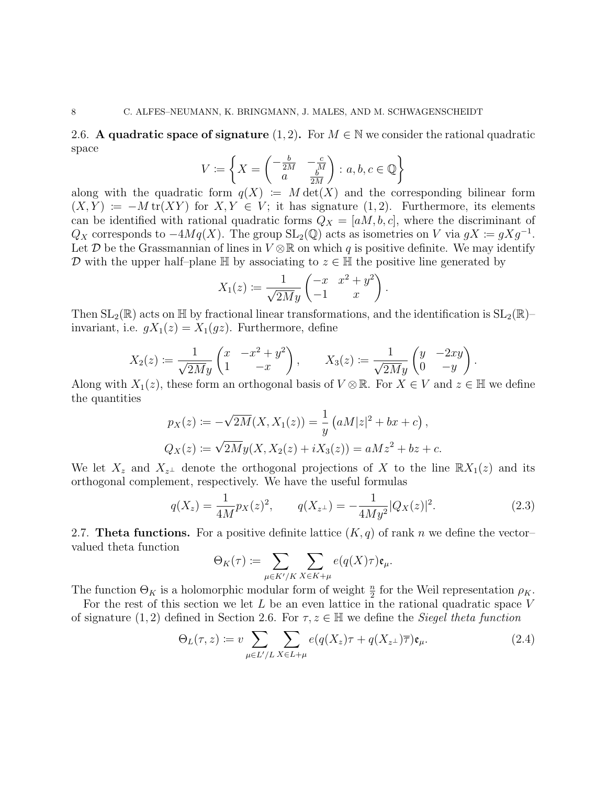2.6. A quadratic space of signature  $(1, 2)$ . For  $M \in \mathbb{N}$  we consider the rational quadratic space

$$
V := \left\{ X = \begin{pmatrix} -\frac{b}{2M} & -\frac{c}{M} \\ a & \frac{b}{2M} \end{pmatrix} : a, b, c \in \mathbb{Q} \right\}
$$

along with the quadratic form  $q(X) := M \det(X)$  and the corresponding bilinear form  $(X, Y) := -M \text{tr}(XY)$  for  $X, Y \in V$ ; it has signature  $(1, 2)$ . Furthermore, its elements can be identified with rational quadratic forms  $Q_X = [aM, b, c]$ , where the discriminant of  $Q_X$  corresponds to  $-4Mq(X)$ . The group SL<sub>2</sub>(Q) acts as isometries on V via  $gX := gXg^{-1}$ . Let D be the Grassmannian of lines in  $V \otimes \mathbb{R}$  on which q is positive definite. We may identify D with the upper half–plane  $\mathbb H$  by associating to  $z \in \mathbb H$  the positive line generated by

$$
X_1(z) := \frac{1}{\sqrt{2My}} \begin{pmatrix} -x & x^2 + y^2 \\ -1 & x \end{pmatrix}.
$$

Then  $SL_2(\mathbb{R})$  acts on H by fractional linear transformations, and the identification is  $SL_2(\mathbb{R})$ invariant, i.e.  $gX_1(z) = X_1(gz)$ . Furthermore, define

$$
X_2(z) \coloneqq \frac{1}{\sqrt{2My}} \begin{pmatrix} x & -x^2 + y^2 \\ 1 & -x \end{pmatrix}, \qquad X_3(z) \coloneqq \frac{1}{\sqrt{2My}} \begin{pmatrix} y & -2xy \\ 0 & -y \end{pmatrix}.
$$

Along with  $X_1(z)$ , these form an orthogonal basis of  $V \otimes \mathbb{R}$ . For  $X \in V$  and  $z \in \mathbb{H}$  we define the quantities

$$
p_X(z) := -\sqrt{2M}(X, X_1(z)) = \frac{1}{y} (aM|z|^2 + bx + c),
$$
  
\n
$$
Q_X(z) := \sqrt{2M}y(X, X_2(z) + iX_3(z)) = aMz^2 + bz + c.
$$

We let  $X_z$  and  $X_{z^{\perp}}$  denote the orthogonal projections of X to the line  $\mathbb{R}X_1(z)$  and its orthogonal complement, respectively. We have the useful formulas

$$
q(X_z) = \frac{1}{4M} p_X(z)^2, \qquad q(X_{z^\perp}) = -\frac{1}{4My^2} |Q_X(z)|^2. \tag{2.3}
$$

2.7. Theta functions. For a positive definite lattice  $(K, q)$  of rank n we define the vectorvalued theta function

$$
\Theta_K(\tau) := \sum_{\mu \in K'/K} \sum_{X \in K + \mu} e(q(X)\tau) \mathfrak{e}_{\mu}.
$$

The function  $\Theta_K$  is a holomorphic modular form of weight  $\frac{n}{2}$  for the Weil representation  $\rho_K$ .

For the rest of this section we let  $L$  be an even lattice in the rational quadratic space  $V$ of signature (1, 2) defined in Section 2.6. For  $\tau, z \in \mathbb{H}$  we define the *Siegel theta function* 

$$
\Theta_L(\tau, z) := v \sum_{\mu \in L'/L} \sum_{X \in L + \mu} e(q(X_z)\tau + q(X_{z^\perp})\overline{\tau}) \mathfrak{e}_{\mu}.
$$
 (2.4)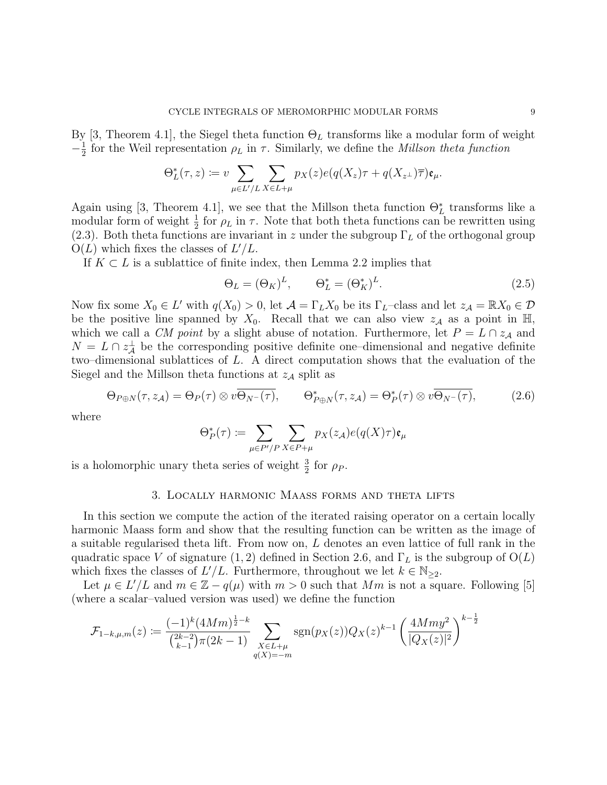By [3, Theorem 4.1], the Siegel theta function  $\Theta_L$  transforms like a modular form of weight  $-\frac{1}{2}$  $\frac{1}{2}$  for the Weil representation  $\rho_L$  in  $\tau$ . Similarly, we define the *Millson theta function* 

$$
\Theta_L^*(\tau,z) := v \sum_{\mu \in L'/L} \sum_{X \in L + \mu} p_X(z) e(q(X_z)\tau + q(X_{z^{\perp}})\overline{\tau}) \mathfrak{e}_{\mu}.
$$

Again using [3, Theorem 4.1], we see that the Millson theta function  $\Theta_L^*$  transforms like a modular form of weight  $\frac{1}{2}$  for  $\rho_L$  in  $\tau$ . Note that both theta functions can be rewritten using (2.3). Both theta functions are invariant in z under the subgroup  $\Gamma_L$  of the orthogonal group  $O(L)$  which fixes the classes of  $L'/L$ .

If  $K \subset L$  is a sublattice of finite index, then Lemma 2.2 implies that

$$
\Theta_L = (\Theta_K)^L, \qquad \Theta_L^* = (\Theta_K^*)^L. \tag{2.5}
$$

Now fix some  $X_0 \in L'$  with  $q(X_0) > 0$ , let  $\mathcal{A} = \Gamma_L X_0$  be its  $\Gamma_L$ -class and let  $z_{\mathcal{A}} = \mathbb{R}X_0 \in \mathcal{D}$ be the positive line spanned by  $X_0$ . Recall that we can also view  $z_A$  as a point in H, which we call a *CM point* by a slight abuse of notation. Furthermore, let  $P = L \cap z_{\mathcal{A}}$  and  $N = L \cap z^{\perp}_A$  be the corresponding positive definite one-dimensional and negative definite two–dimensional sublattices of L. A direct computation shows that the evaluation of the Siegel and the Millson theta functions at  $z_A$  split as

$$
\Theta_{P\oplus N}(\tau, z_{\mathcal{A}}) = \Theta_P(\tau) \otimes v \overline{\Theta_{N^-}(\tau)}, \qquad \Theta_{P\oplus N}^*(\tau, z_{\mathcal{A}}) = \Theta_P^*(\tau) \otimes v \overline{\Theta_{N^-}(\tau)}, \tag{2.6}
$$

where

$$
\Theta_P^*(\tau) := \sum_{\mu \in P'/P} \sum_{X \in P + \mu} p_X(z_{\mathcal{A}}) e(q(X)\tau) \mathfrak{e}_{\mu}
$$

is a holomorphic unary theta series of weight  $\frac{3}{2}$  for  $\rho_P$ .

# 3. Locally harmonic Maass forms and theta lifts

In this section we compute the action of the iterated raising operator on a certain locally harmonic Maass form and show that the resulting function can be written as the image of a suitable regularised theta lift. From now on, L denotes an even lattice of full rank in the quadratic space V of signature (1, 2) defined in Section 2.6, and  $\Gamma_L$  is the subgroup of  $O(L)$ which fixes the classes of  $L'/L$ . Furthermore, throughout we let  $k \in \mathbb{N}_{\geq 2}$ .

Let  $\mu \in L'/L$  and  $m \in \mathbb{Z} - q(\mu)$  with  $m > 0$  such that  $Mm$  is not a square. Following [5] (where a scalar–valued version was used) we define the function

$$
\mathcal{F}_{1-k,\mu,m}(z) := \frac{(-1)^k (4Mm)^{\frac{1}{2}-k}}{\binom{2k-2}{k-1} \pi (2k-1)} \sum_{\substack{X \in L+\mu \\ q(X)=-m}} \text{sgn}(p_X(z)) Q_X(z)^{k-1} \left(\frac{4Mmy^2}{|Q_X(z)|^2}\right)^{k-\frac{1}{2}}
$$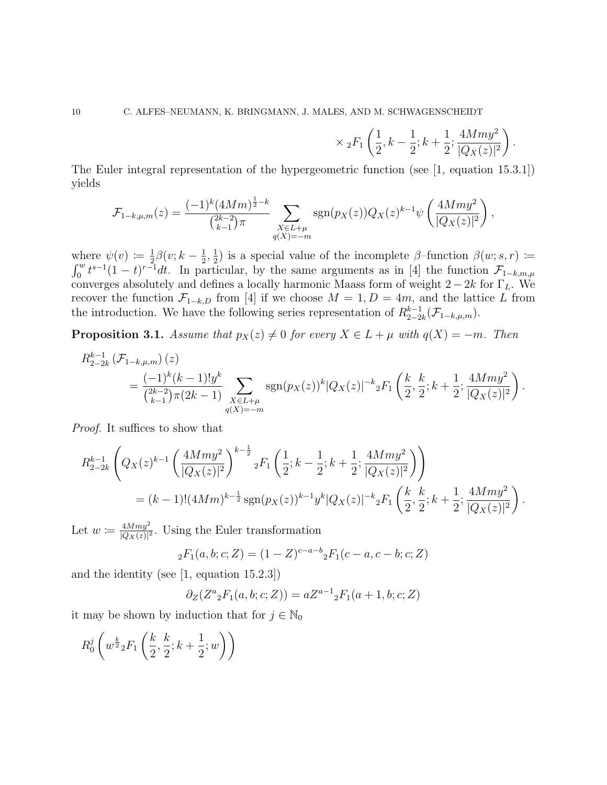$$
\times
$$
 <sub>2</sub>F<sub>1</sub> $\left(\frac{1}{2}, k - \frac{1}{2}; k + \frac{1}{2}; \frac{4Mmy^2}{|Q_X(z)|^2}\right)$ .

,

The Euler integral representation of the hypergeometric function (see [1, equation 15.3.1]) yields

$$
\mathcal{F}_{1-k,\mu,m}(z) = \frac{(-1)^k (4Mm)^{\frac{1}{2}-k}}{\binom{2k-2}{k-1}\pi} \sum_{\substack{X \in L+\mu \\ q(X)=-m}} \text{sgn}(p_X(z)) Q_X(z)^{k-1} \psi\left(\frac{4Mmy^2}{|Q_X(z)|^2}\right)
$$

where  $\psi(v) := \frac{1}{2}\beta(v; k-\frac{1}{2}, \frac{1}{2})$  is a special value of the incomplete  $\beta$ -function  $\beta(w; s, r) :=$ where  $\varphi(v) = 2^{\rho(v), n} 2^{\rho(v), n} 2^{\rho(v), n}$  a special value of the incomplete  $\rho$  function  $\rho(w, s, r)$ . converges absolutely and defines a locally harmonic Maass form of weight  $2 - 2k$  for  $\Gamma_L$ . We recover the function  $\mathcal{F}_{1-k,D}$  from [4] if we choose  $M = 1, D = 4m$ , and the lattice L from the introduction. We have the following series representation of  $R_{2-2}^{k-1}$  $_{2-2k}^{k-1}(\mathcal{F}_{1-k,\mu,m}).$ 

**Proposition 3.1.** Assume that  $p_X(z) \neq 0$  for every  $X \in L + \mu$  with  $q(X) = -m$ . Then

$$
R_{2-2k}^{k-1}(\mathcal{F}_{1-k,\mu,m})(z)
$$
  
=  $\frac{(-1)^k(k-1)!y^k}{\binom{2k-2}{k-1}\pi(2k-1)}\sum_{\substack{X\in L+\mu\\q(X)=-m}}\text{sgn}(p_X(z))^k|Q_X(z)|^{-k}{}_2F_1\left(\frac{k}{2},\frac{k}{2};k+\frac{1}{2};\frac{4Mmy^2}{|Q_X(z)|^2}\right).$ 

Proof. It suffices to show that

$$
R_{2-2k}^{k-1} \left(Q_X(z)^{k-1} \left(\frac{4Mmy^2}{|Q_X(z)|^2}\right)^{k-\frac{1}{2}} {}_2F_1\left(\frac{1}{2}; k-\frac{1}{2}; k+\frac{1}{2}; \frac{4Mmy^2}{|Q_X(z)|^2}\right)\right)
$$
  
=  $(k-1)!(4Mm)^{k-\frac{1}{2}} \operatorname{sgn}(p_X(z))^{k-1} y^k |Q_X(z)|^{-k} {}_2F_1\left(\frac{k}{2}, \frac{k}{2}; k+\frac{1}{2}; \frac{4Mmy^2}{|Q_X(z)|^2}\right).$ 

Let  $w \coloneqq \frac{4Mmy^2}{|Q_{\mathcal{X}}(z)|^2}$  $\frac{4Mmy^2}{|Q_X(z)|^2}$ . Using the Euler transformation

$$
{}_2F_1(a, b; c; Z) = (1 - Z)^{c-a-b} {}_2F_1(c-a, c-b; c; Z)
$$

and the identity (see [1, equation 15.2.3])

$$
\partial_Z(Z^a{}_2F_1(a,b;c;Z)) = aZ^{a-1}{}_2F_1(a+1,b;c;Z)
$$

it may be shown by induction that for  $j \in \mathbb{N}_0$ 

$$
R_0^j \left( w^{\frac{k}{2}} {}_2F_1\left( \frac{k}{2}, \frac{k}{2}; k+\frac{1}{2}; w \right) \right)
$$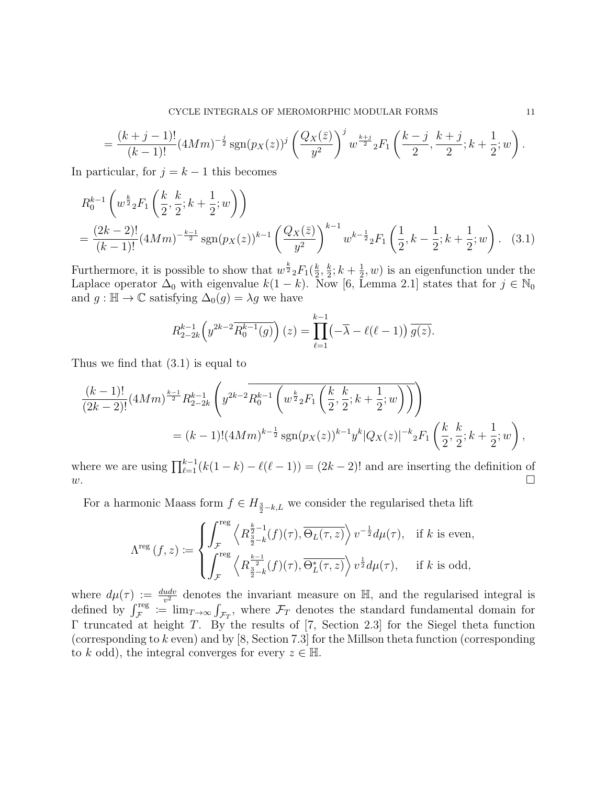$$
= \frac{(k+j-1)!}{(k-1)!} (4Mm)^{-\frac{j}{2}} \operatorname{sgn}(p_X(z))^j \left(\frac{Q_X(\bar{z})}{y^2}\right)^j w^{\frac{k+j}{2}} {}_2F_1\left(\frac{k-j}{2}, \frac{k+j}{2}; k+\frac{1}{2}; w\right).
$$

In particular, for  $j = k - 1$  this becomes

$$
R_0^{k-1} \left( w^{\frac{k}{2}} {}_2F_1 \left( \frac{k}{2}, \frac{k}{2}; k + \frac{1}{2}; w \right) \right)
$$
  
= 
$$
\frac{(2k-2)!}{(k-1)!} (4Mm)^{-\frac{k-1}{2}} \operatorname{sgn}(p_X(z))^{k-1} \left( \frac{Q_X(\bar{z})}{y^2} \right)^{k-1} w^{k-\frac{1}{2}} {}_2F_1 \left( \frac{1}{2}, k - \frac{1}{2}; k + \frac{1}{2}; w \right).
$$
 (3.1)

Furthermore, it is possible to show that  $w^{\frac{k}{2}} {}_2F_1(\frac{k}{2})$  $\frac{k}{2},\frac{k}{2}$  $\frac{k}{2}; k + \frac{1}{2}$  $(\frac{1}{2}, w)$  is an eigenfunction under the Laplace operator  $\Delta_0$  with eigenvalue  $k(1-k)$ . Now [6, Lemma 2.1] states that for  $j \in \mathbb{N}_0$ and  $g : \mathbb{H} \to \mathbb{C}$  satisfying  $\Delta_0(g) = \lambda g$  we have

$$
R_{2-2k}^{k-1}\left(y^{2k-2}\overline{R_0^{k-1}(g)}\right)(z) = \prod_{\ell=1}^{k-1} \left(-\overline{\lambda} - \ell(\ell-1)\right) \overline{g(z)}.
$$

Thus we find that (3.1) is equal to

$$
\frac{(k-1)!}{(2k-2)!} (4Mm)^{\frac{k-1}{2}} R_{2-2k}^{k-1} \left( y^{2k-2} \overline{R_0^{k-1} \left( w^{\frac{k}{2}} {}_2F_1 \left( \frac{k}{2}, \frac{k}{2}; k + \frac{1}{2}; w \right) \right)} \right)
$$
  
=  $(k-1)! (4Mm)^{k-\frac{1}{2}} \text{sgn}(p_X(z))^{k-1} y^k |Q_X(z)|^{-k} {}_2F_1 \left( \frac{k}{2}, \frac{k}{2}; k + \frac{1}{2}; w \right),$ 

where we are using  $\prod_{\ell=1}^{k-1} (k(1-k) - \ell(\ell-1)) = (2k-2)!$  and are inserting the definition of  $w.$ 

For a harmonic Maass form  $f \in H_{\frac{3}{2}-k,L}$  we consider the regularised theta lift

$$
\Lambda^{\text{reg}}\left(f,z\right) \coloneqq \begin{cases} \displaystyle\int_{\mathcal{F}}^{\text{reg}}\left\langle R^{\frac{k}{2}-1}_{\frac{3}{2}-k}(f)(\tau), \overline{\Theta_L(\tau,z)}\right\rangle v^{-\frac{1}{2}}d\mu(\tau), & \text{if $k$ is even,} \\ \displaystyle\int_{\mathcal{F}}^{\text{reg}}\left\langle R^{\frac{k-1}{2}}_{\frac{3}{2}-k}(f)(\tau), \overline{\Theta_L^*(\tau,z)}\right\rangle v^{\frac{1}{2}}d\mu(\tau), & \text{if $k$ is odd,} \end{cases}
$$

where  $d\mu(\tau) := \frac{dudv}{v^2}$  denotes the invariant measure on H, and the regularised integral is defined by  $\int_{\mathcal{F}}^{\text{reg}} := \lim_{T \to \infty} \int_{\mathcal{F}_T}$ , where  $\mathcal{F}_T$  denotes the standard fundamental domain for Γ truncated at height T. By the results of [7, Section 2.3] for the Siegel theta function (corresponding to  $k$  even) and by [8, Section 7.3] for the Millson theta function (corresponding to k odd), the integral converges for every  $z \in \mathbb{H}$ .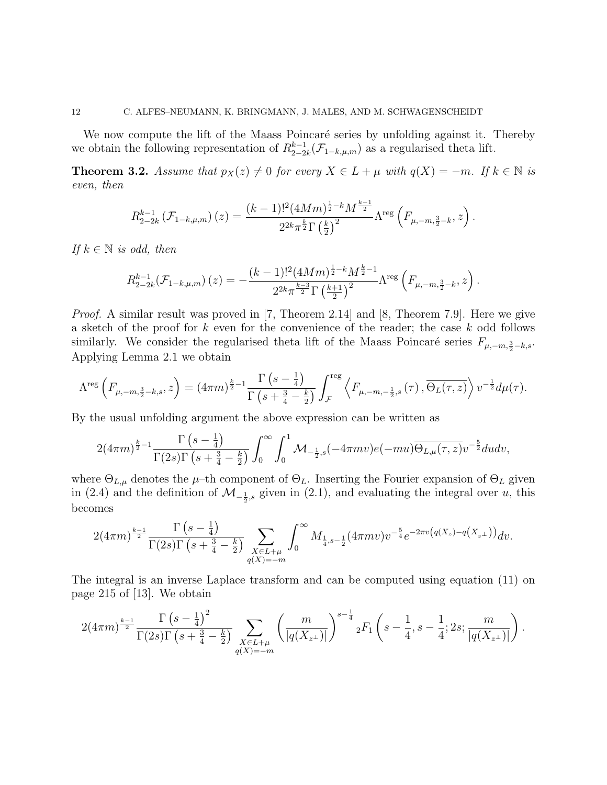We now compute the lift of the Maass Poincaré series by unfolding against it. Thereby we obtain the following representation of  $R_{2-2}^{k-1}$  $_{2-2k}^{k-1}(\mathcal{F}_{1-k,\mu,m})$  as a regularised theta lift.

**Theorem 3.2.** Assume that  $p_X(z) \neq 0$  for every  $X \in L + \mu$  with  $q(X) = -m$ . If  $k \in \mathbb{N}$  is even, then

$$
R_{2-2k}^{k-1}(\mathcal{F}_{1-k,\mu,m})(z) = \frac{(k-1)!^2 (4Mm)^{\frac{1}{2}-k} M^{\frac{k-1}{2}}}{2^{2k} \pi^{\frac{k}{2}} \Gamma(\frac{k}{2})^2} \Lambda^{\text{reg}}\left(F_{\mu,-m,\frac{3}{2}-k},z\right).
$$

If  $k \in \mathbb{N}$  is odd, then

$$
R_{2-2k}^{k-1}(\mathcal{F}_{1-k,\mu,m})(z) = -\frac{(k-1)!^2 (4Mm)^{\frac{1}{2}-k} M^{\frac{k}{2}-1}}{2^{2k} \pi^{\frac{k-3}{2}} \Gamma\left(\frac{k+1}{2}\right)^2} \Lambda^{\text{reg}}\left(F_{\mu,-m,\frac{3}{2}-k},z\right).
$$

*Proof.* A similar result was proved in [7, Theorem 2.14] and [8, Theorem 7.9]. Here we give a sketch of the proof for k even for the convenience of the reader; the case k odd follows similarly. We consider the regularised theta lift of the Maass Poincaré series  $F_{\mu,-m,\frac{3}{2}-k,s}$ . Applying Lemma 2.1 we obtain

$$
\Lambda^{\text{reg}}\left(F_{\mu,-m,\frac{3}{2}-k,s},z\right) = (4\pi m)^{\frac{k}{2}-1} \frac{\Gamma\left(s-\frac{1}{4}\right)}{\Gamma\left(s+\frac{3}{4}-\frac{k}{2}\right)} \int_{\mathcal{F}}^{\text{reg}} \left\langle F_{\mu,-m,-\frac{1}{2},s}\left(\tau\right), \overline{\Theta_L(\tau,z)}\right\rangle v^{-\frac{1}{2}} d\mu(\tau).
$$

By the usual unfolding argument the above expression can be written as

$$
2(4\pi m)^{\frac{k}{2}-1}\frac{\Gamma\left(s-\frac{1}{4}\right)}{\Gamma(2s)\Gamma\left(s+\frac{3}{4}-\frac{k}{2}\right)}\int_0^\infty\int_0^1\mathcal{M}_{-\frac{1}{2},s}(-4\pi mv)e(-mu)\overline{\Theta_{L,\mu}(\tau,z)}v^{-\frac{5}{2}}dudv,
$$

where  $\Theta_{L,\mu}$  denotes the  $\mu$ –th component of  $\Theta_L$ . Inserting the Fourier expansion of  $\Theta_L$  given in (2.4) and the definition of  $\mathcal{M}_{-\frac{1}{2},s}$  given in (2.1), and evaluating the integral over u, this becomes

$$
2(4\pi m)^{\frac{k-1}{2}} \frac{\Gamma(s-\frac{1}{4})}{\Gamma(2s)\Gamma(s+\frac{3}{4}-\frac{k}{2})} \sum_{\substack{X \in L+\mu \\ q(X)=-m}} \int_0^\infty M_{\frac{1}{4},s-\frac{1}{2}}(4\pi mv) v^{-\frac{5}{4}} e^{-2\pi v \left(q(X_z)-q(X_{z^\perp})\right)} dv.
$$

The integral is an inverse Laplace transform and can be computed using equation (11) on page 215 of [13]. We obtain

$$
2(4\pi m)^{\frac{k-1}{2}} \frac{\Gamma(s-\frac{1}{4})^2}{\Gamma(2s)\Gamma(s+\frac{3}{4}-\frac{k}{2})} \sum_{\substack{X \in L+\mu \\ q(X)=-m}} \left(\frac{m}{|q(X_{z^{\perp}})|}\right)^{s-\frac{1}{4}} {}_2F_1\left(s-\frac{1}{4},s-\frac{1}{4};2s;\frac{m}{|q(X_{z^{\perp}})|}\right).
$$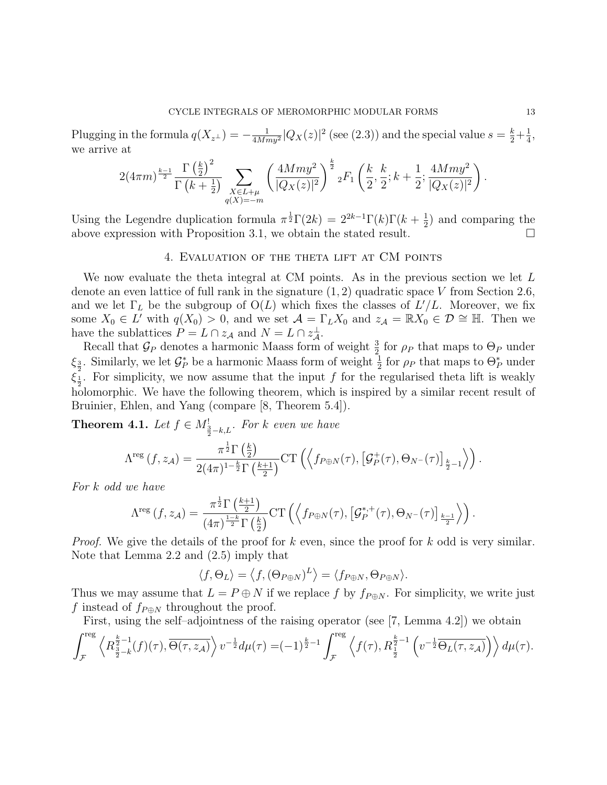Plugging in the formula  $q(X_{z^{\perp}}) = -\frac{1}{4Mn}$  $\frac{1}{4 M m y^2} |Q_X(z)|^2$  (see (2.3)) and the special value  $s = \frac{k}{2} + \frac{1}{4}$  $\frac{1}{4}$ , we arrive at

$$
2(4\pi m)^{\frac{k-1}{2}} \frac{\Gamma\left(\frac{k}{2}\right)^2}{\Gamma\left(k+\frac{1}{2}\right)} \sum_{\substack{X \in L+\mu \\ q(X)=-m}} \left(\frac{4Mmy^2}{|Q_X(z)|^2}\right)^{\frac{k}{2}} {}_2F_1\left(\frac{k}{2}, \frac{k}{2}; k+\frac{1}{2}; \frac{4Mmy^2}{|Q_X(z)|^2}\right).
$$

Using the Legendre duplication formula  $\pi^{\frac{1}{2}}\Gamma(2k) = 2^{2k-1}\Gamma(k)\Gamma(k+\frac{1}{2})$  $(\frac{1}{2})$  and comparing the above expression with Proposition 3.1, we obtain the stated result.  $\Box$ 

# 4. Evaluation of the theta lift at CM points

We now evaluate the theta integral at CM points. As in the previous section we let L denote an even lattice of full rank in the signature  $(1, 2)$  quadratic space V from Section 2.6, and we let  $\Gamma_L$  be the subgroup of  $O(L)$  which fixes the classes of  $L'/L$ . Moreover, we fix some  $X_0 \in L^7$  with  $q(X_0) > 0$ , and we set  $\mathcal{A} = \Gamma_L X_0$  and  $z_{\mathcal{A}} = \mathbb{R} X_0 \in \mathcal{D} \cong \mathbb{H}$ . Then we have the sublattices  $P = L \cap z_{\mathcal{A}}$  and  $N = L \cap z_{\mathcal{A}}^{\perp}$ .

Recall that  $\mathcal{G}_P$  denotes a harmonic Maass form of weight  $\frac{3}{2}$  for  $\rho_P$  that maps to  $\Theta_P$  under  $\xi_{\frac{3}{2}}$ . Similarly, we let  $\mathcal{G}_P^*$  be a harmonic Maass form of weight  $\frac{1}{2}$  for  $\rho_P$  that maps to  $\Theta_P^*$  under  $\xi_{\frac{1}{2}}$ . For simplicity, we now assume that the input f for the regularised theta lift is weakly holomorphic. We have the following theorem, which is inspired by a similar recent result of Bruinier, Ehlen, and Yang (compare [8, Theorem 5.4]).

**Theorem 4.1.** Let  $f \in M^!_{\frac{3}{2}-k,L}$ . For k even we have

$$
\Lambda^{\text{reg}}\left(f, z_{\mathcal{A}}\right) = \frac{\pi^{\frac{1}{2}} \Gamma\left(\frac{k}{2}\right)}{2(4\pi)^{1-\frac{k}{2}} \Gamma\left(\frac{k+1}{2}\right)} \text{CT}\left(\left\langle f_{P \oplus N}(\tau), \left[\mathcal{G}_P^+(\tau), \Theta_{N^-}(\tau)\right]_{\frac{k}{2}-1}\right\rangle\right).
$$

For k odd we have

$$
\Lambda^{\text{reg}}\left(f, z_{\mathcal{A}}\right) = \frac{\pi^{\frac{1}{2}} \Gamma\left(\frac{k+1}{2}\right)}{(4\pi)^{\frac{1-k}{2}} \Gamma\left(\frac{k}{2}\right)} \text{CT}\left(\left\langle f_{P \oplus N}(\tau), \left[\mathcal{G}_{P}^{*,+}(\tau), \Theta_{N^{-}}(\tau)\right]_{\frac{k-1}{2}}\right\rangle\right).
$$

*Proof.* We give the details of the proof for k even, since the proof for k odd is very similar. Note that Lemma 2.2 and (2.5) imply that

$$
\langle f, \Theta_L \rangle = \langle f, (\Theta_{P \oplus N})^L \rangle = \langle f_{P \oplus N}, \Theta_{P \oplus N} \rangle.
$$

Thus we may assume that  $L = P \oplus N$  if we replace f by  $f_{P \oplus N}$ . For simplicity, we write just f instead of  $f_{P \oplus N}$  throughout the proof.

First, using the self–adjointness of the raising operator (see [7, Lemma 4.2]) we obtain

$$
\int_{\mathcal{F}}^{\text{reg}} \left\langle R^{\frac{k}{2}-1}_{\frac{3}{2}-k}(f)(\tau), \overline{\Theta(\tau, z_{\mathcal{A}})} \right\rangle v^{-\frac{1}{2}} d\mu(\tau) = (-1)^{\frac{k}{2}-1} \int_{\mathcal{F}}^{\text{reg}} \left\langle f(\tau), R^{\frac{k}{2}-1}_{\frac{1}{2}} \left( v^{-\frac{1}{2}} \overline{\Theta_L(\tau, z_{\mathcal{A}})} \right) \right\rangle d\mu(\tau).
$$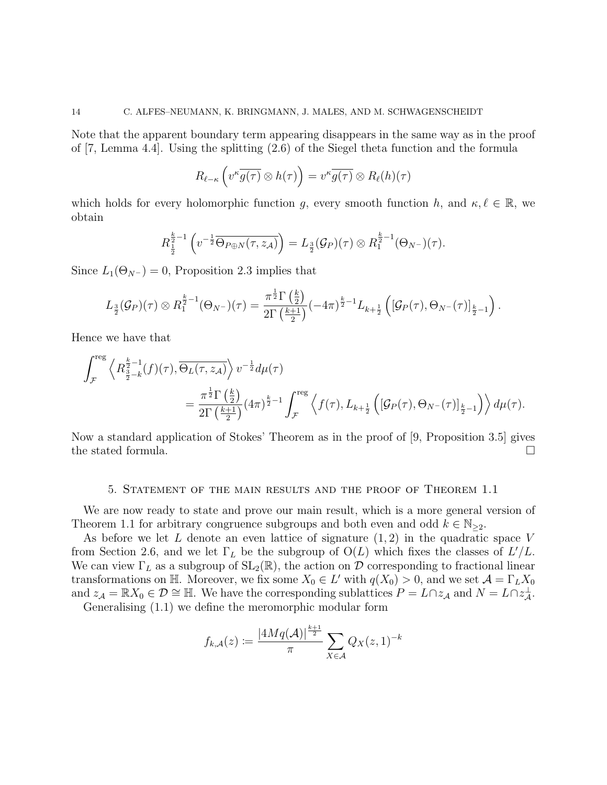Note that the apparent boundary term appearing disappears in the same way as in the proof of [7, Lemma 4.4]. Using the splitting (2.6) of the Siegel theta function and the formula

$$
R_{\ell-\kappa}\left(v^{\kappa}\overline{g(\tau)}\otimes h(\tau)\right)=v^{\kappa}\overline{g(\tau)}\otimes R_{\ell}(h)(\tau)
$$

which holds for every holomorphic function g, every smooth function h, and  $\kappa, \ell \in \mathbb{R}$ , we obtain

$$
R_{\frac{1}{2}}^{\frac{k}{2}-1}\left(v^{-\frac{1}{2}}\overline{\Theta_{P\oplus N}(\tau,z_{\mathcal{A}})}\right)=L_{\frac{3}{2}}(\mathcal{G}_P)(\tau)\otimes R_{1}^{\frac{k}{2}-1}(\Theta_{N^{-}})(\tau).
$$

Since  $L_1(\Theta_{N^-}) = 0$ , Proposition 2.3 implies that

$$
L_{\frac{3}{2}}(\mathcal{G}_{P})(\tau) \otimes R_{1}^{\frac{k}{2}-1}(\Theta_{N^{-}})(\tau) = \frac{\pi^{\frac{1}{2}}\Gamma\left(\frac{k}{2}\right)}{2\Gamma\left(\frac{k+1}{2}\right)}(-4\pi)^{\frac{k}{2}-1}L_{k+\frac{1}{2}}\left([\mathcal{G}_{P}(\tau),\Theta_{N^{-}}(\tau)]_{\frac{k}{2}-1}\right).
$$

Hence we have that

$$
\int_{\mathcal{F}}^{\text{reg}} \left\langle R^{\frac{k}{2}-1}_{\frac{3}{2}-k}(f)(\tau), \overline{\Theta_L(\tau, z_{\mathcal{A}})} \right\rangle v^{-\frac{1}{2}} d\mu(\tau) \n= \frac{\pi^{\frac{1}{2}} \Gamma\left(\frac{k}{2}\right)}{2\Gamma\left(\frac{k+1}{2}\right)} (4\pi)^{\frac{k}{2}-1} \int_{\mathcal{F}}^{\text{reg}} \left\langle f(\tau), L_{k+\frac{1}{2}}\left( [\mathcal{G}_P(\tau), \Theta_{N^-}(\tau)]_{\frac{k}{2}-1} \right) \right\rangle d\mu(\tau).
$$

Now a standard application of Stokes' Theorem as in the proof of [9, Proposition 3.5] gives the stated formula.  $\Box$ 

### 5. Statement of the main results and the proof of Theorem 1.1

We are now ready to state and prove our main result, which is a more general version of Theorem 1.1 for arbitrary congruence subgroups and both even and odd  $k \in \mathbb{N}_{\geq 2}$ .

As before we let L denote an even lattice of signature  $(1, 2)$  in the quadratic space V from Section 2.6, and we let  $\Gamma_L$  be the subgroup of  $O(L)$  which fixes the classes of  $L'/L$ . We can view  $\Gamma_L$  as a subgroup of  $SL_2(\mathbb{R})$ , the action on D corresponding to fractional linear transformations on H. Moreover, we fix some  $X_0 \in L'$  with  $q(X_0) > 0$ , and we set  $\mathcal{A} = \Gamma_L X_0$ and  $z_{\mathcal{A}} = \mathbb{R}X_0 \in \mathcal{D} \cong \mathbb{H}$ . We have the corresponding sublattices  $P = L \cap z_{\mathcal{A}}$  and  $N = L \cap z_{\mathcal{A}}^{\perp}$ . Generalising (1.1) we define the meromorphic modular form

$$
f_{k,A}(z) := \frac{|4Mq(\mathcal{A})|^{\frac{k+1}{2}}}{\pi} \sum_{X \in \mathcal{A}} Q_X(z,1)^{-k}
$$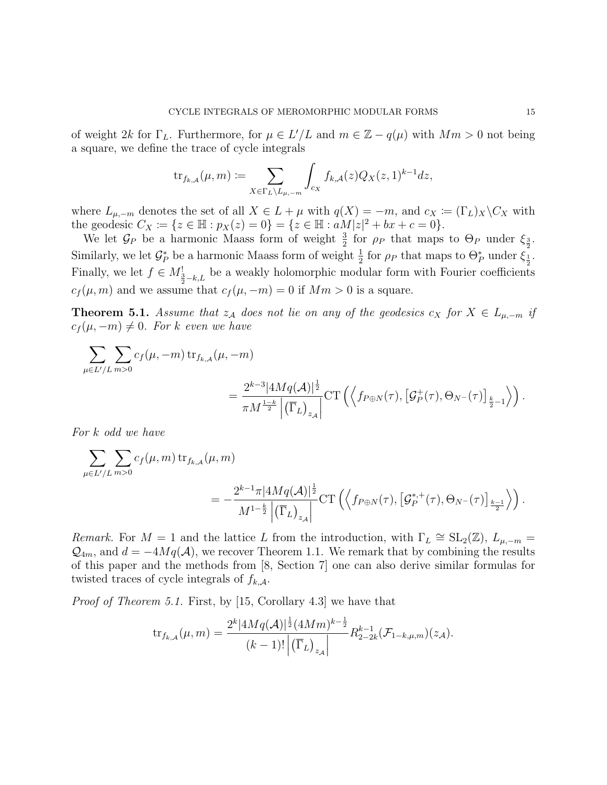of weight 2k for  $\Gamma_L$ . Furthermore, for  $\mu \in L'/L$  and  $m \in \mathbb{Z} - q(\mu)$  with  $Mm > 0$  not being a square, we define the trace of cycle integrals

$$
\mathrm{tr}_{f_{k,A}}(\mu,m) \coloneqq \sum_{X \in \Gamma_L \backslash L_{\mu,-m}} \int_{c_X} f_{k,A}(z) Q_X(z,1)^{k-1} dz,
$$

where  $L_{\mu,-m}$  denotes the set of all  $X \in L + \mu$  with  $q(X) = -m$ , and  $c_X := (\Gamma_L)_X \backslash C_X$  with the geodesic  $C_X := \{ z \in \mathbb{H} : p_X(z) = 0 \} = \{ z \in \mathbb{H} : aM|z|^2 + bx + c = 0 \}.$ 

We let  $\mathcal{G}_P$  be a harmonic Maass form of weight  $\frac{3}{2}$  for  $\rho_P$  that maps to  $\Theta_P$  under  $\xi_{\frac{3}{2}}$ . Similarly, we let  $\mathcal{G}_P^*$  be a harmonic Maass form of weight  $\frac{1}{2}$  for  $\rho_P$  that maps to  $\Theta_P^*$  under  $\xi_{\frac{1}{2}}^2$ . Finally, we let  $f \in M^!_{\frac{3}{2}-k,L}$  be a weakly holomorphic modular form with Fourier coefficients  $c_f(\mu, m)$  and we assume that  $c_f(\mu, -m) = 0$  if  $Mm > 0$  is a square.

**Theorem 5.1.** Assume that  $z_A$  does not lie on any of the geodesics  $c_X$  for  $X \in L_{\mu,-m}$  if  $c_f(\mu, -m) \neq 0$ . For k even we have

$$
\sum_{\mu \in L'/L} \sum_{m>0} c_f(\mu, -m) \operatorname{tr}_{f_{k,A}}(\mu, -m)
$$
  
= 
$$
\frac{2^{k-3} |4Mq(\mathcal{A})|^{\frac{1}{2}}}{\pi M^{\frac{1-k}{2}} |(\overline{\Gamma}_L)_{z_{\mathcal{A}}}} \operatorname{CT}\left(\left\langle f_{P \oplus N}(\tau), [\mathcal{G}_P^+(\tau), \Theta_{N^-}(\tau)]_{\frac{k}{2}-1} \right\rangle\right).
$$

For k odd we have

$$
\sum_{\mu \in L'/L} \sum_{m>0} c_f(\mu, m) \operatorname{tr}_{f_{k,A}}(\mu, m)
$$
  
= 
$$
-\frac{2^{k-1} \pi |4Mq(\mathcal{A})|^{\frac{1}{2}}}{M^{1-\frac{k}{2}} \left| (\overline{\Gamma}_L)_{z_{\mathcal{A}}}\right|} \operatorname{CT}\left( \left\langle f_{P \oplus N}(\tau), \left[ \mathcal{G}_P^{*,+}(\tau), \Theta_{N-}(\tau) \right]_{\frac{k-1}{2}} \right\rangle \right).
$$

Remark. For  $M = 1$  and the lattice L from the introduction, with  $\Gamma_L \cong SL_2(\mathbb{Z})$ ,  $L_{\mu,-m} =$  $\mathcal{Q}_{4m}$ , and  $d = -4Mq(\mathcal{A})$ , we recover Theorem 1.1. We remark that by combining the results of this paper and the methods from [8, Section 7] one can also derive similar formulas for twisted traces of cycle integrals of  $f_{k,\mathcal{A}}$ .

Proof of Theorem 5.1. First, by [15, Corollary 4.3] we have that

$$
\text{tr}_{f_{k,A}}(\mu,m) = \frac{2^k |4Mq(\mathcal{A})|^{\frac{1}{2}} (4Mm)^{k-\frac{1}{2}}}{(k-1)! \left| \left( \overline{\Gamma}_L \right)_{z_{\mathcal{A}}} \right|} R_{2-2k}^{k-1} (\mathcal{F}_{1-k,\mu,m})(z_{\mathcal{A}}).
$$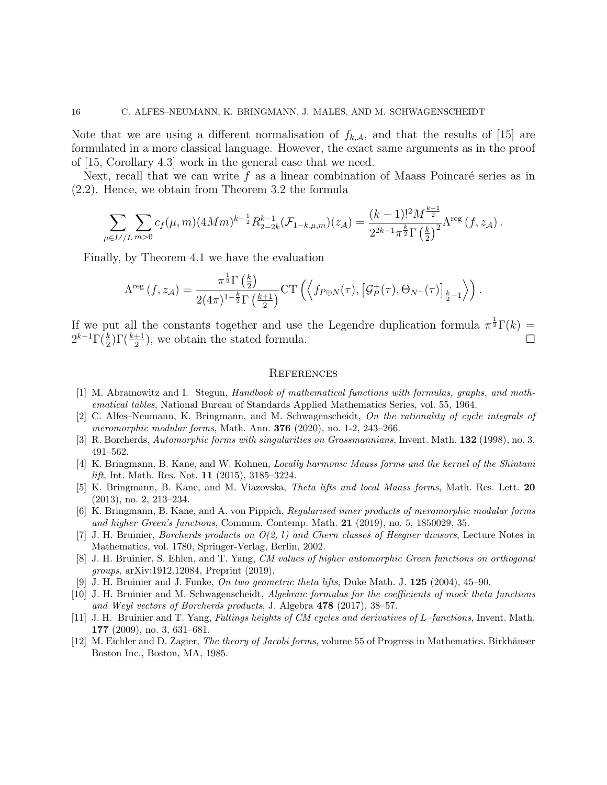Note that we are using a different normalisation of  $f_{k,\mathcal{A}}$ , and that the results of [15] are formulated in a more classical language. However, the exact same arguments as in the proof of [15, Corollary 4.3] work in the general case that we need.

Next, recall that we can write f as a linear combination of Maass Poincaré series as in (2.2). Hence, we obtain from Theorem 3.2 the formula

$$
\sum_{\mu \in L'/L} \sum_{m>0} c_f(\mu, m) (4Mm)^{k-\frac{1}{2}} R_{2-2k}^{k-1}(\mathcal{F}_{1-k,\mu,m})(z_{\mathcal{A}}) = \frac{(k-1)!^2 M^{\frac{k-1}{2}}}{2^{2k-1} \pi^{\frac{k}{2}} \Gamma \left(\frac{k}{2}\right)^2} \Lambda^{\text{reg}}\left(f, z_{\mathcal{A}}\right).
$$

Finally, by Theorem 4.1 we have the evaluation

$$
\Lambda^{\text{reg}}\left(f, z_{\mathcal{A}}\right) = \frac{\pi^{\frac{1}{2}} \Gamma\left(\frac{k}{2}\right)}{2(4\pi)^{1-\frac{k}{2}} \Gamma\left(\frac{k+1}{2}\right)} \text{CT}\left(\left\langle f_{P \oplus N}(\tau), \left[\mathcal{G}_P^+(\tau), \Theta_{N^-}(\tau)\right]_{\frac{k}{2}-1}\right\rangle\right).
$$

If we put all the constants together and use the Legendre duplication formula  $\pi^{\frac{1}{2}}\Gamma(k)$  $2^{k-1}\Gamma(\frac{k}{2})\Gamma(\frac{k+1}{2})$ , we obtain the stated formula.

## **REFERENCES**

- [1] M. Abramowitz and I. Stegun, Handbook of mathematical functions with formulas, graphs, and mathematical tables, National Bureau of Standards Applied Mathematics Series, vol. 55, 1964.
- [2] C. Alfes–Neumann, K. Bringmann, and M. Schwagenscheidt, On the rationality of cycle integrals of meromorphic modular forms, Math. Ann. **376** (2020), no. 1-2, 243-266.
- [3] R. Borcherds, Automorphic forms with singularities on Grassmannians, Invent. Math. 132 (1998), no. 3, 491–562.
- [4] K. Bringmann, B. Kane, and W. Kohnen, Locally harmonic Maass forms and the kernel of the Shintani lift, Int. Math. Res. Not. 11 (2015), 3185–3224.
- [5] K. Bringmann, B. Kane, and M. Viazovska, Theta lifts and local Maass forms, Math. Res. Lett. 20 (2013), no. 2, 213–234.
- [6] K. Bringmann, B. Kane, and A. von Pippich, Regularised inner products of meromorphic modular forms and higher Green's functions, Commun. Contemp. Math. 21 (2019), no. 5, 1850029, 35.
- [7] J. H. Bruinier, Borcherds products on O(2, l) and Chern classes of Heegner divisors, Lecture Notes in Mathematics, vol. 1780, Springer-Verlag, Berlin, 2002.
- [8] J. H. Bruinier, S. Ehlen, and T. Yang, CM values of higher automorphic Green functions on orthogonal groups, arXiv:1912.12084, Preprint (2019).
- [9] J. H. Bruinier and J. Funke, On two geometric theta lifts, Duke Math. J. 125 (2004), 45–90.
- [10] J. H. Bruinier and M. Schwagenscheidt, Algebraic formulas for the coefficients of mock theta functions and Weyl vectors of Borcherds products, J. Algebra 478 (2017), 38–57.
- [11] J. H. Bruinier and T. Yang, Faltings heights of CM cycles and derivatives of L–functions, Invent. Math. 177 (2009), no. 3, 631–681.
- [12] M. Eichler and D. Zagier, *The theory of Jacobi forms*, volume 55 of Progress in Mathematics. Birkhäuser Boston Inc., Boston, MA, 1985.